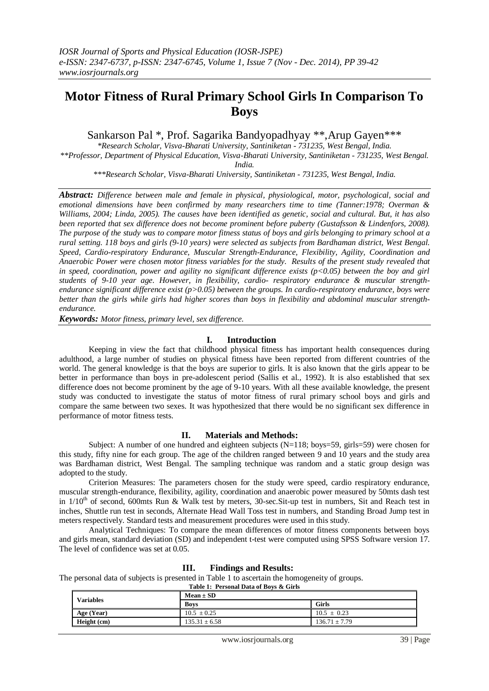# **Motor Fitness of Rural Primary School Girls In Comparison To Boys**

Sankarson Pal \*, Prof. Sagarika Bandyopadhyay \*\*,Arup Gayen\*\*\*

*\*Research Scholar, Visva-Bharati University, Santiniketan - 731235, West Bengal, India. \*\*Professor, Department of Physical Education, Visva-Bharati University, Santiniketan - 731235, West Bengal. India.*

*\*\*\*Research Scholar, Visva-Bharati University, Santiniketan - 731235, West Bengal, India.*

*Abstract: Difference between male and female in physical, physiological, motor, psychological, social and emotional dimensions have been confirmed by many researchers time to time (Tanner:1978; Overman & Williams, 2004; Linda, 2005). The causes have been identified as genetic, social and cultural. But, it has also been reported that sex difference does not become prominent before puberty (Gustafsson & Lindenfors, 2008). The purpose of the study was to compare motor fitness status of boys and girls belonging to primary school at a rural setting. 118 boys and girls (9-10 years) were selected as subjects from Bardhaman district, West Bengal. Speed, Cardio-respiratory Endurance, Muscular Strength-Endurance, Flexibility, Agility, Coordination and Anaerobic Power were chosen motor fitness variables for the study. Results of the present study revealed that in speed, coordination, power and agility no significant difference exists (p<0.05) between the boy and girl students of 9-10 year age. However, in flexibility, cardio- respiratory endurance & muscular strengthendurance significant difference exist (p>0.05) between the groups. In cardio-respiratory endurance, boys were better than the girls while girls had higher scores than boys in flexibility and abdominal muscular strengthendurance.* 

*Keywords: Motor fitness, primary level, sex difference.*

# **I. Introduction**

Keeping in view the fact that childhood physical fitness has important health consequences during adulthood, a large number of studies on physical fitness have been reported from different countries of the world. The general knowledge is that the boys are superior to girls. It is also known that the girls appear to be better in performance than boys in pre-adolescent period (Sallis et al., 1992). It is also established that sex difference does not become prominent by the age of 9-10 years. With all these available knowledge, the present study was conducted to investigate the status of motor fitness of rural primary school boys and girls and compare the same between two sexes. It was hypothesized that there would be no significant sex difference in performance of motor fitness tests.

## **II. Materials and Methods:**

Subject: A number of one hundred and eighteen subjects  $(N=118; boys=59, girls=59)$  were chosen for this study, fifty nine for each group. The age of the children ranged between 9 and 10 years and the study area was Bardhaman district, West Bengal. The sampling technique was random and a static group design was adopted to the study.

Criterion Measures: The parameters chosen for the study were speed, cardio respiratory endurance, muscular strength-endurance, flexibility, agility, coordination and anaerobic power measured by 50mts dash test in 1/10<sup>th</sup> of second, 600mts Run & Walk test by meters, 30-sec. Sit-up test in numbers, Sit and Reach test in inches, Shuttle run test in seconds, Alternate Head Wall Toss test in numbers, and Standing Broad Jump test in meters respectively. Standard tests and measurement procedures were used in this study.

Analytical Techniques: To compare the mean differences of motor fitness components between boys and girls mean, standard deviation (SD) and independent t-test were computed using SPSS Software version 17. The level of confidence was set at 0.05.

# **III. Findings and Results:**

The personal data of subjects is presented in Table 1 to ascertain the homogeneity of groups. **Table 1: Personal Data of Boys & Girls**

| <b>Variables</b> | $Mean \pm SD$     |                   |  |
|------------------|-------------------|-------------------|--|
|                  | <b>Boys</b>       | Girls             |  |
| Age (Year)       | $10.5 \pm 0.25$   | $10.5 \pm 0.23$   |  |
| Height (cm)      | $135.31 \pm 6.58$ | $136.71 \pm 7.79$ |  |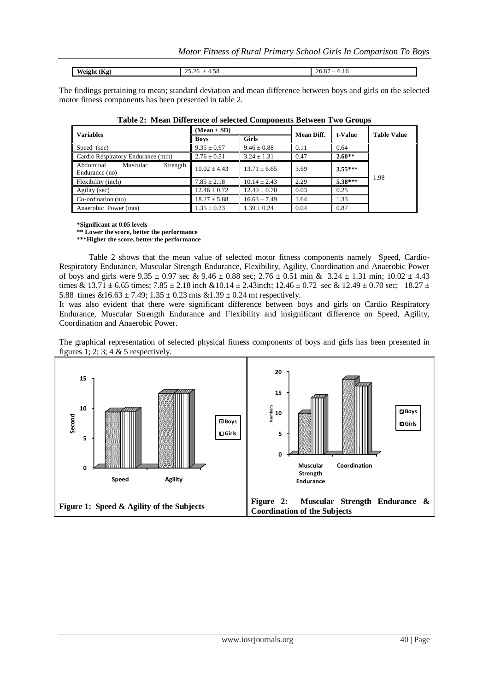| $-$<br>Weight<br>. н.<br>$\mathbf{v}$ | $\overline{\phantom{a}}$<br>25.20<br>+.სი<br><b>__</b> | 26.87<br>0.10<br><u>—</u> |
|---------------------------------------|--------------------------------------------------------|---------------------------|

The findings pertaining to mean; standard deviation and mean difference between boys and girls on the selected motor fitness components has been presented in table 2.

| <b>Variables</b>                                    | $(Mean \pm SD)$  |                  | <b>Mean Diff.</b> | t-Value   | <b>Table Value</b> |  |
|-----------------------------------------------------|------------------|------------------|-------------------|-----------|--------------------|--|
|                                                     | <b>Boys</b>      | <b>Girls</b>     |                   |           |                    |  |
| Speed (sec)                                         | $9.35 \pm 0.97$  | $9.46 \pm 0.88$  | 0.11              | 0.64      |                    |  |
| Cardio Respiratory Endurance (min)                  | $2.76 \pm 0.51$  | $3.24 \pm 1.31$  | 0.47              | $2.60**$  |                    |  |
| Abdominal<br>Muscular<br>Strength<br>Endurance (no) | $10.02 \pm 4.43$ | $13.71 + 6.65$   | 3.69              | $3.55***$ |                    |  |
| Flexibility (inch)                                  | $7.85 \pm 2.18$  | $10.14 + 2.43$   | 2.29              | $5.38***$ | 1.98               |  |
| Agility (sec)                                       | $12.46 \pm 0.72$ | $12.49 \pm 0.70$ | 0.03              | 0.25      |                    |  |
| Co-ordination (no)                                  | $18.27 \pm 5.88$ | $16.63 \pm 7.49$ | 1.64              | 1.33      |                    |  |
| Anaerobic Power (mts)                               | $1.35 \pm 0.23$  | $1.39 \pm 0.24$  | 0.04              | 0.87      |                    |  |

|  | Table 2: Mean Difference of selected Components Between Two Groups |  |  |  |  |
|--|--------------------------------------------------------------------|--|--|--|--|
|--|--------------------------------------------------------------------|--|--|--|--|

**\*Significant at 0.05 levels**

**\*\* Lower the score, better the performance**

**\*\*\*Higher the score, better the performance**

Table 2 shows that the mean value of selected motor fitness components namely Speed, Cardio-Respiratory Endurance, Muscular Strength Endurance, Flexibility, Agility, Coordination and Anaerobic Power of boys and girls were  $9.35 \pm 0.97$  sec &  $9.46 \pm 0.88$  sec;  $2.76 \pm 0.51$  min &  $3.24 \pm 1.31$  min;  $10.02 \pm 4.43$ times & 13.71  $\pm$  6.65 times; 7.85  $\pm$  2.18 inch &10.14  $\pm$  2.43inch; 12.46  $\pm$  0.72 sec & 12.49  $\pm$  0.70 sec; 18.27  $\pm$ 5.88 times  $&16.63 \pm 7.49$ ;  $1.35 \pm 0.23$  mts  $&1.39 \pm 0.24$  mt respectively.

It was also evident that there were significant difference between boys and girls on Cardio Respiratory Endurance, Muscular Strength Endurance and Flexibility and insignificant difference on Speed, Agility, Coordination and Anaerobic Power.

The graphical representation of selected physical fitness components of boys and girls has been presented in figures 1; 2; 3; 4  $&$  5 respectively.

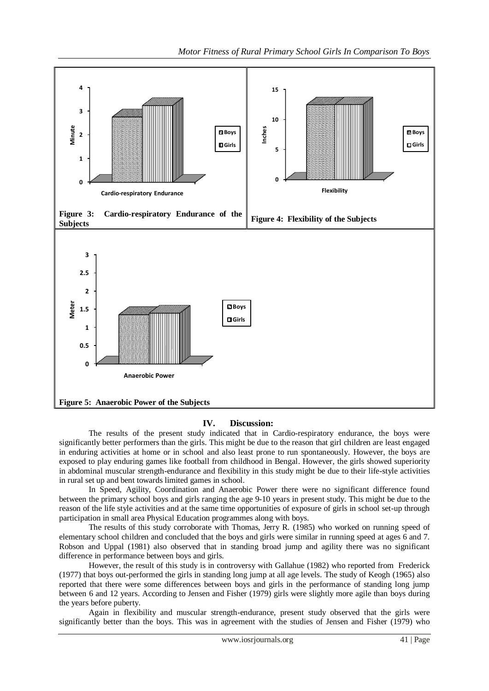

## **IV. Discussion:**

The results of the present study indicated that in Cardio-respiratory endurance, the boys were significantly better performers than the girls. This might be due to the reason that girl children are least engaged in enduring activities at home or in school and also least prone to run spontaneously. However, the boys are exposed to play enduring games like football from childhood in Bengal. However, the girls showed superiority in abdominal muscular strength-endurance and flexibility in this study might be due to their life-style activities in rural set up and bent towards limited games in school.

In Speed, Agility, Coordination and Anaerobic Power there were no significant difference found between the primary school boys and girls ranging the age 9-10 years in present study. This might be due to the reason of the life style activities and at the same time opportunities of exposure of girls in school set-up through participation in small area Physical Education programmes along with boys.

The results of this study corroborate with Thomas, Jerry R. (1985) who worked on running speed of elementary school children and concluded that the boys and girls were similar in running speed at ages 6 and 7. Robson and Uppal (1981) also observed that in standing broad jump and agility there was no significant difference in performance between boys and girls.

However, the result of this study is in controversy with Gallahue (1982) who reported from Frederick (1977) that boys out-performed the girls in standing long jump at all age levels. The study of Keogh (1965) also reported that there were some differences between boys and girls in the performance of standing long jump between 6 and 12 years. According to Jensen and Fisher (1979) girls were slightly more agile than boys during the years before puberty.

Again in flexibility and muscular strength-endurance, present study observed that the girls were significantly better than the boys. This was in agreement with the studies of Jensen and Fisher (1979) who